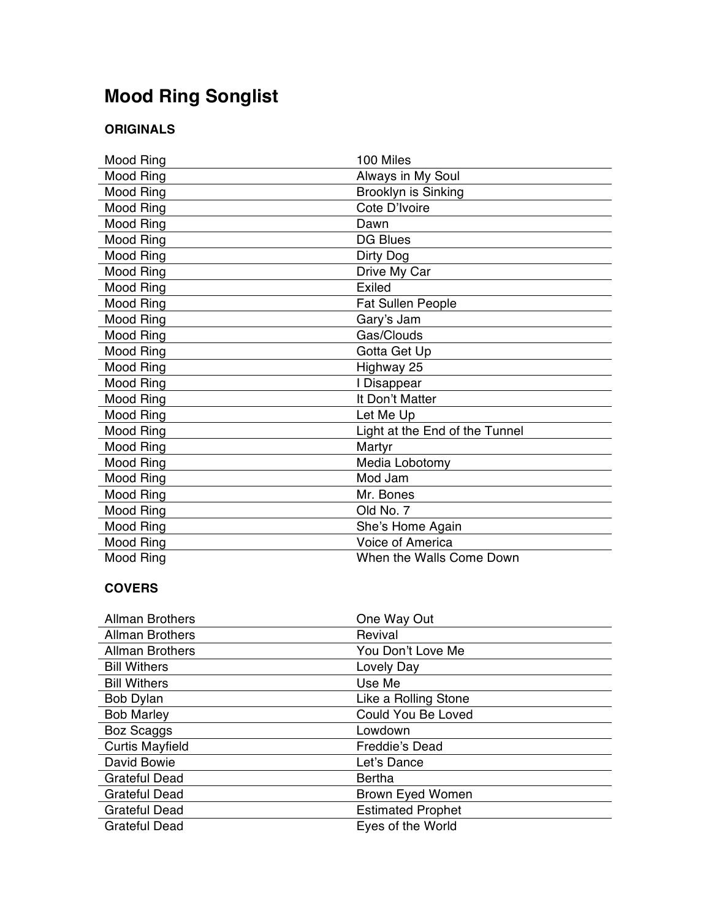## **Mood Ring Songlist**

## **ORIGINALS**

| Mood Ring | 100 Miles                      |
|-----------|--------------------------------|
| Mood Ring | Always in My Soul              |
| Mood Ring | Brooklyn is Sinking            |
| Mood Ring | Cote D'Ivoire                  |
| Mood Ring | Dawn                           |
| Mood Ring | <b>DG Blues</b>                |
| Mood Ring | Dirty Dog                      |
| Mood Ring | Drive My Car                   |
| Mood Ring | Exiled                         |
| Mood Ring | <b>Fat Sullen People</b>       |
| Mood Ring | Gary's Jam                     |
| Mood Ring | Gas/Clouds                     |
| Mood Ring | Gotta Get Up                   |
| Mood Ring | Highway 25                     |
| Mood Ring | I Disappear                    |
| Mood Ring | It Don't Matter                |
| Mood Ring | Let Me Up                      |
| Mood Ring | Light at the End of the Tunnel |
| Mood Ring | Martyr                         |
| Mood Ring | Media Lobotomy                 |
| Mood Ring | Mod Jam                        |
| Mood Ring | Mr. Bones                      |
| Mood Ring | Old No. 7                      |
| Mood Ring | She's Home Again               |
| Mood Ring | <b>Voice of America</b>        |
| Mood Ring | When the Walls Come Down       |

## **COVERS**

| <b>Allman Brothers</b> | One Way Out              |
|------------------------|--------------------------|
| <b>Allman Brothers</b> | Revival                  |
| <b>Allman Brothers</b> | You Don't Love Me        |
| <b>Bill Withers</b>    | Lovely Day               |
| <b>Bill Withers</b>    | Use Me                   |
| Bob Dylan              | Like a Rolling Stone     |
| <b>Bob Marley</b>      | Could You Be Loved       |
| Boz Scaggs             | Lowdown                  |
| <b>Curtis Mayfield</b> | Freddie's Dead           |
| David Bowie            | Let's Dance              |
| <b>Grateful Dead</b>   | Bertha                   |
| <b>Grateful Dead</b>   | <b>Brown Eyed Women</b>  |
| <b>Grateful Dead</b>   | <b>Estimated Prophet</b> |
| <b>Grateful Dead</b>   | Eyes of the World        |